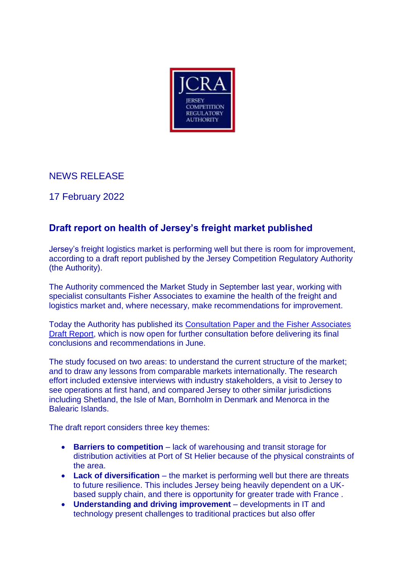

## NEWS RELEASE

17 February 2022

# **Draft report on health of Jersey's freight market published**

Jersey's freight logistics market is performing well but there is room for improvement, according to a draft report published by the Jersey Competition Regulatory Authority (the Authority).

The Authority commenced the Market Study in September last year, working with specialist consultants Fisher Associates to examine the health of the freight and logistics market and, where necessary, make recommendations for improvement.

Today the Authority has published its [Consultation Paper and the Fisher Associates](https://www.jcra.je/cases/2021/m-002-freight-logistics-market-study)  [Draft Report,](https://www.jcra.je/cases/2021/m-002-freight-logistics-market-study) which is now open for further consultation before delivering its final conclusions and recommendations in June.

The study focused on two areas: to understand the current structure of the market; and to draw any lessons from comparable markets internationally. The research effort included extensive interviews with industry stakeholders, a visit to Jersey to see operations at first hand, and compared Jersey to other similar jurisdictions including Shetland, the Isle of Man, Bornholm in Denmark and Menorca in the Balearic Islands.

The draft report considers three key themes:

- **Barriers to competition** lack of warehousing and transit storage for distribution activities at Port of St Helier because of the physical constraints of the area.
- **Lack of diversification** the market is performing well but there are threats to future resilience. This includes Jersey being heavily dependent on a UKbased supply chain, and there is opportunity for greater trade with France .
- **Understanding and driving improvement** developments in IT and technology present challenges to traditional practices but also offer